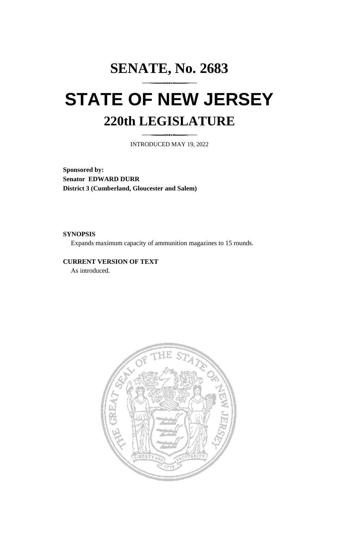# **SENATE, No. 2683 STATE OF NEW JERSEY 220th LEGISLATURE**

INTRODUCED MAY 19, 2022

**Sponsored by: Senator EDWARD DURR District 3 (Cumberland, Gloucester and Salem)**

**SYNOPSIS**

Expands maximum capacity of ammunition magazines to 15 rounds.

**CURRENT VERSION OF TEXT**  As introduced.

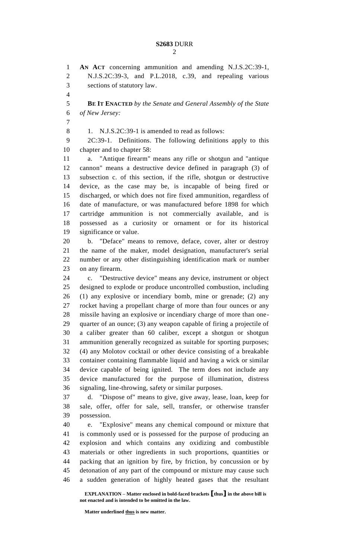**AN ACT** concerning ammunition and amending N.J.S.2C:39-1, N.J.S.2C:39-3, and P.L.2018, c.39, and repealing various sections of statutory law. **BE IT ENACTED** *by the Senate and General Assembly of the State of New Jersey:* 8 1. N.J.S.2C:39-1 is amended to read as follows: 2C:39-1. Definitions. The following definitions apply to this chapter and to chapter 58: a. "Antique firearm" means any rifle or shotgun and "antique cannon" means a destructive device defined in paragraph (3) of subsection c. of this section, if the rifle, shotgun or destructive device, as the case may be, is incapable of being fired or discharged, or which does not fire fixed ammunition, regardless of date of manufacture, or was manufactured before 1898 for which cartridge ammunition is not commercially available, and is possessed as a curiosity or ornament or for its historical significance or value. b. "Deface" means to remove, deface, cover, alter or destroy the name of the maker, model designation, manufacturer's serial number or any other distinguishing identification mark or number on any firearm. c. "Destructive device" means any device, instrument or object designed to explode or produce uncontrolled combustion, including (1) any explosive or incendiary bomb, mine or grenade; (2) any rocket having a propellant charge of more than four ounces or any missile having an explosive or incendiary charge of more than one- quarter of an ounce; (3) any weapon capable of firing a projectile of a caliber greater than 60 caliber, except a shotgun or shotgun ammunition generally recognized as suitable for sporting purposes; (4) any Molotov cocktail or other device consisting of a breakable container containing flammable liquid and having a wick or similar device capable of being ignited. The term does not include any device manufactured for the purpose of illumination, distress signaling, line-throwing, safety or similar purposes. d. "Dispose of" means to give, give away, lease, loan, keep for sale, offer, offer for sale, sell, transfer, or otherwise transfer possession.

 e. "Explosive" means any chemical compound or mixture that is commonly used or is possessed for the purpose of producing an explosion and which contains any oxidizing and combustible materials or other ingredients in such proportions, quantities or packing that an ignition by fire, by friction, by concussion or by detonation of any part of the compound or mixture may cause such a sudden generation of highly heated gases that the resultant

**EXPLANATION – Matter enclosed in bold-faced brackets [thus] in the above bill is not enacted and is intended to be omitted in the law.**

**Matter underlined thus is new matter.**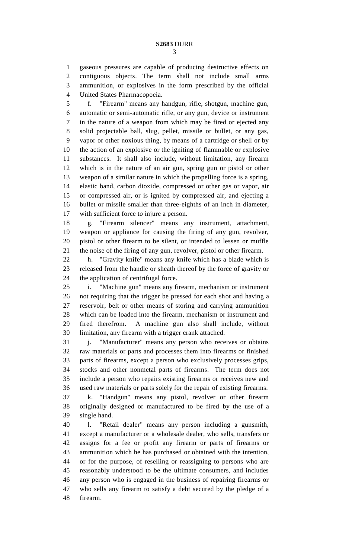gaseous pressures are capable of producing destructive effects on contiguous objects. The term shall not include small arms ammunition, or explosives in the form prescribed by the official United States Pharmacopoeia.

 f. "Firearm" means any handgun, rifle, shotgun, machine gun, automatic or semi-automatic rifle, or any gun, device or instrument in the nature of a weapon from which may be fired or ejected any solid projectable ball, slug, pellet, missile or bullet, or any gas, vapor or other noxious thing, by means of a cartridge or shell or by the action of an explosive or the igniting of flammable or explosive substances. It shall also include, without limitation, any firearm which is in the nature of an air gun, spring gun or pistol or other weapon of a similar nature in which the propelling force is a spring, elastic band, carbon dioxide, compressed or other gas or vapor, air or compressed air, or is ignited by compressed air, and ejecting a bullet or missile smaller than three-eighths of an inch in diameter, with sufficient force to injure a person.

 g. "Firearm silencer" means any instrument, attachment, weapon or appliance for causing the firing of any gun, revolver, pistol or other firearm to be silent, or intended to lessen or muffle the noise of the firing of any gun, revolver, pistol or other firearm.

 h. "Gravity knife" means any knife which has a blade which is released from the handle or sheath thereof by the force of gravity or the application of centrifugal force.

 i. "Machine gun" means any firearm, mechanism or instrument not requiring that the trigger be pressed for each shot and having a reservoir, belt or other means of storing and carrying ammunition which can be loaded into the firearm, mechanism or instrument and fired therefrom. A machine gun also shall include, without limitation, any firearm with a trigger crank attached.

 j. "Manufacturer" means any person who receives or obtains raw materials or parts and processes them into firearms or finished parts of firearms, except a person who exclusively processes grips, stocks and other nonmetal parts of firearms. The term does not include a person who repairs existing firearms or receives new and used raw materials or parts solely for the repair of existing firearms.

 k. "Handgun" means any pistol, revolver or other firearm originally designed or manufactured to be fired by the use of a single hand.

 l. "Retail dealer" means any person including a gunsmith, except a manufacturer or a wholesale dealer, who sells, transfers or assigns for a fee or profit any firearm or parts of firearms or ammunition which he has purchased or obtained with the intention, or for the purpose, of reselling or reassigning to persons who are reasonably understood to be the ultimate consumers, and includes any person who is engaged in the business of repairing firearms or who sells any firearm to satisfy a debt secured by the pledge of a firearm.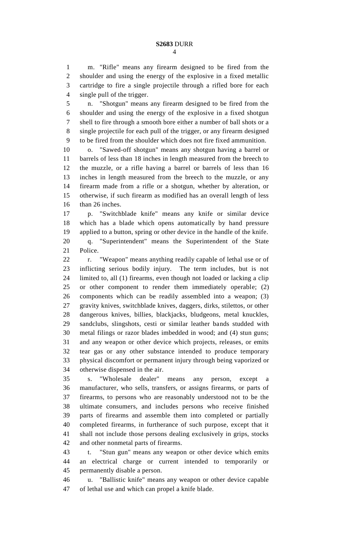m. "Rifle" means any firearm designed to be fired from the shoulder and using the energy of the explosive in a fixed metallic cartridge to fire a single projectile through a rifled bore for each single pull of the trigger.

 n. "Shotgun" means any firearm designed to be fired from the shoulder and using the energy of the explosive in a fixed shotgun shell to fire through a smooth bore either a number of ball shots or a single projectile for each pull of the trigger, or any firearm designed to be fired from the shoulder which does not fire fixed ammunition.

 o. "Sawed-off shotgun" means any shotgun having a barrel or barrels of less than 18 inches in length measured from the breech to the muzzle, or a rifle having a barrel or barrels of less than 16 inches in length measured from the breech to the muzzle, or any firearm made from a rifle or a shotgun, whether by alteration, or otherwise, if such firearm as modified has an overall length of less than 26 inches.

 p. "Switchblade knife" means any knife or similar device which has a blade which opens automatically by hand pressure applied to a button, spring or other device in the handle of the knife. q. "Superintendent" means the Superintendent of the State Police.

 r. "Weapon" means anything readily capable of lethal use or of inflicting serious bodily injury. The term includes, but is not limited to, all (1) firearms, even though not loaded or lacking a clip or other component to render them immediately operable; (2) components which can be readily assembled into a weapon; (3) gravity knives, switchblade knives, daggers, dirks, stilettos, or other dangerous knives, billies, blackjacks, bludgeons, metal knuckles, sandclubs, slingshots, cesti or similar leather bands studded with metal filings or razor blades imbedded in wood; and (4) stun guns; and any weapon or other device which projects, releases, or emits tear gas or any other substance intended to produce temporary physical discomfort or permanent injury through being vaporized or otherwise dispensed in the air.

 s. "Wholesale dealer" means any person, except a manufacturer, who sells, transfers, or assigns firearms, or parts of firearms, to persons who are reasonably understood not to be the ultimate consumers, and includes persons who receive finished parts of firearms and assemble them into completed or partially completed firearms, in furtherance of such purpose, except that it shall not include those persons dealing exclusively in grips, stocks and other nonmetal parts of firearms.

 t. "Stun gun" means any weapon or other device which emits an electrical charge or current intended to temporarily or permanently disable a person.

 u. "Ballistic knife" means any weapon or other device capable of lethal use and which can propel a knife blade.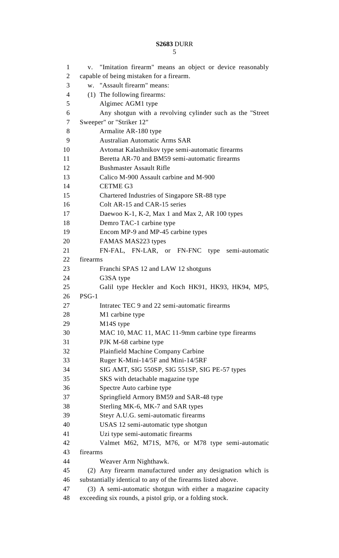v. "Imitation firearm" means an object or device reasonably capable of being mistaken for a firearm. w. "Assault firearm" means: (1) The following firearms: Algimec AGM1 type Any shotgun with a revolving cylinder such as the "Street Sweeper" or "Striker 12" Armalite AR-180 type Australian Automatic Arms SAR Avtomat Kalashnikov type semi-automatic firearms Beretta AR-70 and BM59 semi-automatic firearms Bushmaster Assault Rifle Calico M-900 Assault carbine and M-900 CETME G3 Chartered Industries of Singapore SR-88 type Colt AR-15 and CAR-15 series Daewoo K-1, K-2, Max 1 and Max 2, AR 100 types Demro TAC-1 carbine type Encom MP-9 and MP-45 carbine types FAMAS MAS223 types FN-FAL, FN-LAR, or FN-FNC type semi-automatic firearms Franchi SPAS 12 and LAW 12 shotguns G3SA type Galil type Heckler and Koch HK91, HK93, HK94, MP5, PSG-1 Intratec TEC 9 and 22 semi-automatic firearms M1 carbine type M14S type MAC 10, MAC 11, MAC 11-9mm carbine type firearms PJK M-68 carbine type Plainfield Machine Company Carbine Ruger K-Mini-14/5F and Mini-14/5RF SIG AMT, SIG 550SP, SIG 551SP, SIG PE-57 types SKS with detachable magazine type Spectre Auto carbine type Springfield Armory BM59 and SAR-48 type Sterling MK-6, MK-7 and SAR types Steyr A.U.G. semi-automatic firearms USAS 12 semi-automatic type shotgun Uzi type semi-automatic firearms Valmet M62, M71S, M76, or M78 type semi-automatic firearms Weaver Arm Nighthawk. (2) Any firearm manufactured under any designation which is substantially identical to any of the firearms listed above. (3) A semi-automatic shotgun with either a magazine capacity exceeding six rounds, a pistol grip, or a folding stock.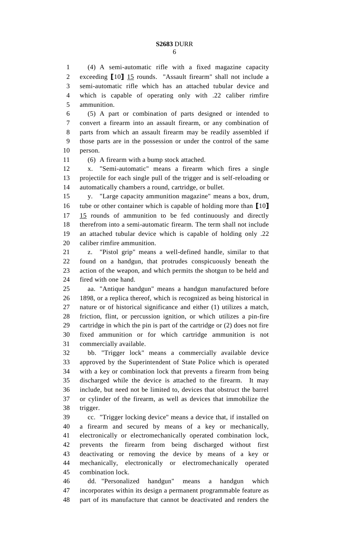(4) A semi-automatic rifle with a fixed magazine capacity exceeding **[**10**]** 15 rounds. "Assault firearm" shall not include a semi-automatic rifle which has an attached tubular device and which is capable of operating only with .22 caliber rimfire ammunition.

 (5) A part or combination of parts designed or intended to convert a firearm into an assault firearm, or any combination of parts from which an assault firearm may be readily assembled if those parts are in the possession or under the control of the same person.

(6) A firearm with a bump stock attached.

 x. "Semi-automatic" means a firearm which fires a single projectile for each single pull of the trigger and is self-reloading or automatically chambers a round, cartridge, or bullet.

 y. "Large capacity ammunition magazine" means a box, drum, tube or other container which is capable of holding more than **[**10**]** 15 rounds of ammunition to be fed continuously and directly therefrom into a semi-automatic firearm. The term shall not include an attached tubular device which is capable of holding only .22 caliber rimfire ammunition.

 z. "Pistol grip" means a well-defined handle, similar to that found on a handgun, that protrudes conspicuously beneath the action of the weapon, and which permits the shotgun to be held and fired with one hand.

 aa. "Antique handgun" means a handgun manufactured before 1898, or a replica thereof, which is recognized as being historical in nature or of historical significance and either (1) utilizes a match, friction, flint, or percussion ignition, or which utilizes a pin-fire cartridge in which the pin is part of the cartridge or (2) does not fire fixed ammunition or for which cartridge ammunition is not commercially available.

 bb. "Trigger lock" means a commercially available device approved by the Superintendent of State Police which is operated with a key or combination lock that prevents a firearm from being discharged while the device is attached to the firearm. It may include, but need not be limited to, devices that obstruct the barrel or cylinder of the firearm, as well as devices that immobilize the trigger.

 cc. "Trigger locking device" means a device that, if installed on a firearm and secured by means of a key or mechanically, electronically or electromechanically operated combination lock, prevents the firearm from being discharged without first deactivating or removing the device by means of a key or mechanically, electronically or electromechanically operated combination lock.

 dd. "Personalized handgun" means a handgun which incorporates within its design a permanent programmable feature as part of its manufacture that cannot be deactivated and renders the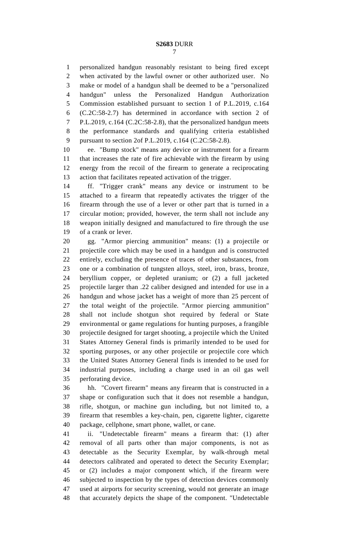personalized handgun reasonably resistant to being fired except when activated by the lawful owner or other authorized user. No make or model of a handgun shall be deemed to be a "personalized handgun" unless the Personalized Handgun Authorization Commission established pursuant to section 1 of P.L.2019, c.164 (C.2C:58-2.7) has determined in accordance with section 2 of P.L.2019, c.164 (C.2C:58-2.8), that the personalized handgun meets the performance standards and qualifying criteria established pursuant to section 2of P.L.2019, c.164 (C.2C:58-2.8).

 ee. "Bump stock" means any device or instrument for a firearm that increases the rate of fire achievable with the firearm by using energy from the recoil of the firearm to generate a reciprocating action that facilitates repeated activation of the trigger.

 ff. "Trigger crank" means any device or instrument to be attached to a firearm that repeatedly activates the trigger of the firearm through the use of a lever or other part that is turned in a circular motion; provided, however, the term shall not include any weapon initially designed and manufactured to fire through the use of a crank or lever.

 gg. "Armor piercing ammunition" means: (1) a projectile or projectile core which may be used in a handgun and is constructed entirely, excluding the presence of traces of other substances, from one or a combination of tungsten alloys, steel, iron, brass, bronze, beryllium copper, or depleted uranium; or (2) a full jacketed projectile larger than .22 caliber designed and intended for use in a handgun and whose jacket has a weight of more than 25 percent of the total weight of the projectile. "Armor piercing ammunition" shall not include shotgun shot required by federal or State environmental or game regulations for hunting purposes, a frangible projectile designed for target shooting, a projectile which the United States Attorney General finds is primarily intended to be used for sporting purposes, or any other projectile or projectile core which the United States Attorney General finds is intended to be used for industrial purposes, including a charge used in an oil gas well perforating device.

 hh. "Covert firearm" means any firearm that is constructed in a shape or configuration such that it does not resemble a handgun, rifle, shotgun, or machine gun including, but not limited to, a firearm that resembles a key-chain, pen, cigarette lighter, cigarette package, cellphone, smart phone, wallet, or cane.

 ii. "Undetectable firearm" means a firearm that: (1) after removal of all parts other than major components, is not as detectable as the Security Exemplar, by walk-through metal detectors calibrated and operated to detect the Security Exemplar; or (2) includes a major component which, if the firearm were subjected to inspection by the types of detection devices commonly used at airports for security screening, would not generate an image that accurately depicts the shape of the component. "Undetectable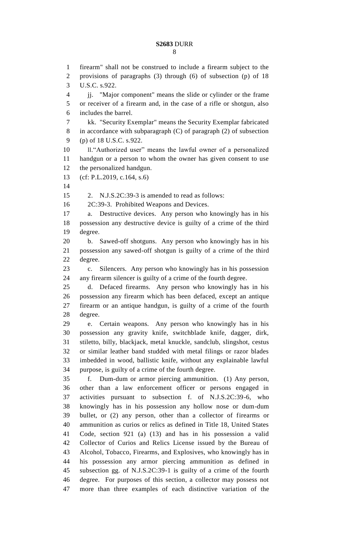firearm" shall not be construed to include a firearm subject to the provisions of paragraphs (3) through (6) of subsection (p) of 18 U.S.C. s.922. jj. "Major component" means the slide or cylinder or the frame or receiver of a firearm and, in the case of a rifle or shotgun, also includes the barrel. kk. "Security Exemplar" means the Security Exemplar fabricated in accordance with subparagraph (C) of paragraph (2) of subsection (p) of 18 U.S.C. s.922. ll."Authorized user" means the lawful owner of a personalized handgun or a person to whom the owner has given consent to use the personalized handgun. (cf: P.L.2019, c.164, s.6) 2. N.J.S.2C:39-3 is amended to read as follows: 2C:39-3. Prohibited Weapons and Devices. a. Destructive devices. Any person who knowingly has in his possession any destructive device is guilty of a crime of the third degree. b. Sawed-off shotguns. Any person who knowingly has in his possession any sawed-off shotgun is guilty of a crime of the third degree. c. Silencers. Any person who knowingly has in his possession any firearm silencer is guilty of a crime of the fourth degree. d. Defaced firearms. Any person who knowingly has in his possession any firearm which has been defaced, except an antique firearm or an antique handgun, is guilty of a crime of the fourth degree. e. Certain weapons. Any person who knowingly has in his possession any gravity knife, switchblade knife, dagger, dirk, stiletto, billy, blackjack, metal knuckle, sandclub, slingshot, cestus or similar leather band studded with metal filings or razor blades imbedded in wood, ballistic knife, without any explainable lawful purpose, is guilty of a crime of the fourth degree. f. Dum-dum or armor piercing ammunition. (1) Any person, other than a law enforcement officer or persons engaged in activities pursuant to subsection f. of N.J.S.2C:39-6, who knowingly has in his possession any hollow nose or dum-dum bullet, or (2) any person, other than a collector of firearms or ammunition as curios or relics as defined in Title 18, United States Code, section 921 (a) (13) and has in his possession a valid Collector of Curios and Relics License issued by the Bureau of Alcohol, Tobacco, Firearms, and Explosives, who knowingly has in his possession any armor piercing ammunition as defined in subsection gg. of N.J.S.2C:39-1 is guilty of a crime of the fourth degree. For purposes of this section, a collector may possess not more than three examples of each distinctive variation of the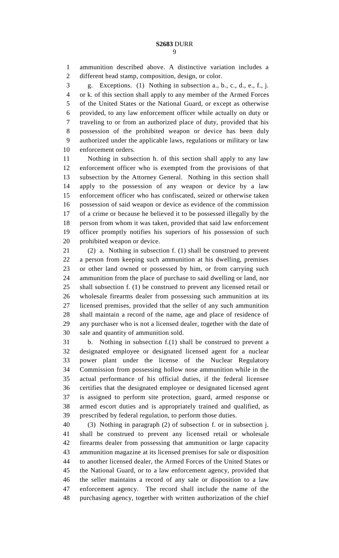ammunition described above. A distinctive variation includes a different head stamp, composition, design, or color.

 g. Exceptions. (1) Nothing in subsection a., b., c., d., e., f., j. or k. of this section shall apply to any member of the Armed Forces of the United States or the National Guard, or except as otherwise provided, to any law enforcement officer while actually on duty or traveling to or from an authorized place of duty, provided that his possession of the prohibited weapon or device has been duly authorized under the applicable laws, regulations or military or law enforcement orders.

 Nothing in subsection h. of this section shall apply to any law enforcement officer who is exempted from the provisions of that subsection by the Attorney General. Nothing in this section shall apply to the possession of any weapon or device by a law enforcement officer who has confiscated, seized or otherwise taken possession of said weapon or device as evidence of the commission of a crime or because he believed it to be possessed illegally by the person from whom it was taken, provided that said law enforcement officer promptly notifies his superiors of his possession of such prohibited weapon or device.

 (2) a. Nothing in subsection f. (1) shall be construed to prevent a person from keeping such ammunition at his dwelling, premises or other land owned or possessed by him, or from carrying such ammunition from the place of purchase to said dwelling or land, nor shall subsection f. (1) be construed to prevent any licensed retail or wholesale firearms dealer from possessing such ammunition at its licensed premises, provided that the seller of any such ammunition shall maintain a record of the name, age and place of residence of any purchaser who is not a licensed dealer, together with the date of sale and quantity of ammunition sold.

 b. Nothing in subsection f.(1) shall be construed to prevent a designated employee or designated licensed agent for a nuclear power plant under the license of the Nuclear Regulatory Commission from possessing hollow nose ammunition while in the actual performance of his official duties, if the federal licensee certifies that the designated employee or designated licensed agent is assigned to perform site protection, guard, armed response or armed escort duties and is appropriately trained and qualified, as prescribed by federal regulation, to perform those duties.

 (3) Nothing in paragraph (2) of subsection f. or in subsection j. shall be construed to prevent any licensed retail or wholesale firearms dealer from possessing that ammunition or large capacity ammunition magazine at its licensed premises for sale or disposition to another licensed dealer, the Armed Forces of the United States or the National Guard, or to a law enforcement agency, provided that the seller maintains a record of any sale or disposition to a law enforcement agency. The record shall include the name of the purchasing agency, together with written authorization of the chief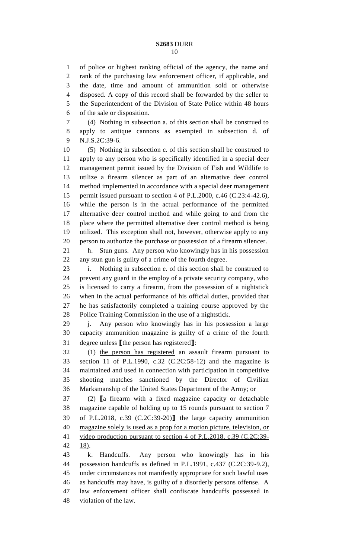of police or highest ranking official of the agency, the name and rank of the purchasing law enforcement officer, if applicable, and the date, time and amount of ammunition sold or otherwise disposed. A copy of this record shall be forwarded by the seller to the Superintendent of the Division of State Police within 48 hours of the sale or disposition.

 (4) Nothing in subsection a. of this section shall be construed to apply to antique cannons as exempted in subsection d. of N.J.S.2C:39-6.

 (5) Nothing in subsection c. of this section shall be construed to apply to any person who is specifically identified in a special deer management permit issued by the Division of Fish and Wildlife to utilize a firearm silencer as part of an alternative deer control method implemented in accordance with a special deer management permit issued pursuant to section 4 of P.L.2000, c.46 (C.23:4-42.6), while the person is in the actual performance of the permitted alternative deer control method and while going to and from the place where the permitted alternative deer control method is being utilized. This exception shall not, however, otherwise apply to any person to authorize the purchase or possession of a firearm silencer. h. Stun guns. Any person who knowingly has in his possession

any stun gun is guilty of a crime of the fourth degree.

 i. Nothing in subsection e. of this section shall be construed to prevent any guard in the employ of a private security company, who is licensed to carry a firearm, from the possession of a nightstick when in the actual performance of his official duties, provided that he has satisfactorily completed a training course approved by the Police Training Commission in the use of a nightstick.

 j. Any person who knowingly has in his possession a large capacity ammunition magazine is guilty of a crime of the fourth degree unless **[**the person has registered**]**:

 (1) the person has registered an assault firearm pursuant to section 11 of P.L.1990, c.32 (C.2C:58-12) and the magazine is maintained and used in connection with participation in competitive shooting matches sanctioned by the Director of Civilian Marksmanship of the United States Department of the Army; or

 (2) **[**a firearm with a fixed magazine capacity or detachable magazine capable of holding up to 15 rounds pursuant to section 7 of P.L.2018, c.39 (C.2C:39-20)**]** the large capacity ammunition magazine solely is used as a prop for a motion picture, television, or video production pursuant to section 4 of P.L.2018, c.39 (C.2C:39- 18).

 k. Handcuffs. Any person who knowingly has in his possession handcuffs as defined in P.L.1991, c.437 (C.2C:39-9.2), under circumstances not manifestly appropriate for such lawful uses as handcuffs may have, is guilty of a disorderly persons offense. A law enforcement officer shall confiscate handcuffs possessed in violation of the law.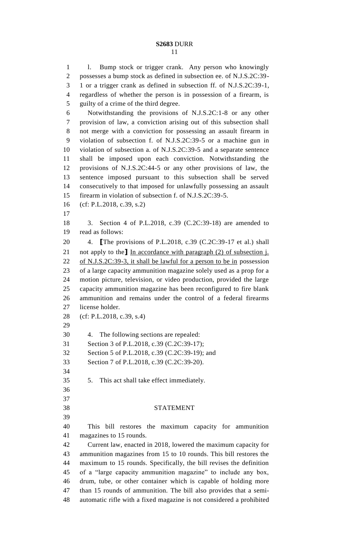1 l. Bump stock or trigger crank. Any person who knowingly possesses a bump stock as defined in subsection ee. of N.J.S.2C:39- 1 or a trigger crank as defined in subsection ff. of N.J.S.2C:39-1, regardless of whether the person is in possession of a firearm, is guilty of a crime of the third degree. Notwithstanding the provisions of N.J.S.2C:1-8 or any other provision of law, a conviction arising out of this subsection shall not merge with a conviction for possessing an assault firearm in violation of subsection f. of N.J.S.2C:39-5 or a machine gun in violation of subsection a. of N.J.S.2C:39-5 and a separate sentence shall be imposed upon each conviction. Notwithstanding the provisions of N.J.S.2C:44-5 or any other provisions of law, the sentence imposed pursuant to this subsection shall be served consecutively to that imposed for unlawfully possessing an assault firearm in violation of subsection f. of N.J.S.2C:39-5. (cf: P.L.2018, c.39, s.2) 3. Section 4 of P.L.2018, c.39 (C.2C:39-18) are amended to read as follows: 4. **[**The provisions of P.L.2018, c.39 (C.2C:39-17 et al.) shall not apply to the**]** In accordance with paragraph (2) of subsection j. 22 of N.J.S.2C:39-3, it shall be lawful for a person to be in possession of a large capacity ammunition magazine solely used as a prop for a motion picture, television, or video production, provided the large capacity ammunition magazine has been reconfigured to fire blank ammunition and remains under the control of a federal firearms license holder. (cf: P.L.2018, c.39, s.4) 4. The following sections are repealed: Section 3 of P.L.2018, c.39 (C.2C:39-17); Section 5 of P.L.2018, c.39 (C.2C:39-19); and Section 7 of P.L.2018, c.39 (C.2C:39-20). 5. This act shall take effect immediately. STATEMENT This bill restores the maximum capacity for ammunition magazines to 15 rounds. Current law, enacted in 2018, lowered the maximum capacity for ammunition magazines from 15 to 10 rounds. This bill restores the maximum to 15 rounds. Specifically, the bill revises the definition of a "large capacity ammunition magazine" to include any box, drum, tube, or other container which is capable of holding more than 15 rounds of ammunition. The bill also provides that a semi-

automatic rifle with a fixed magazine is not considered a prohibited